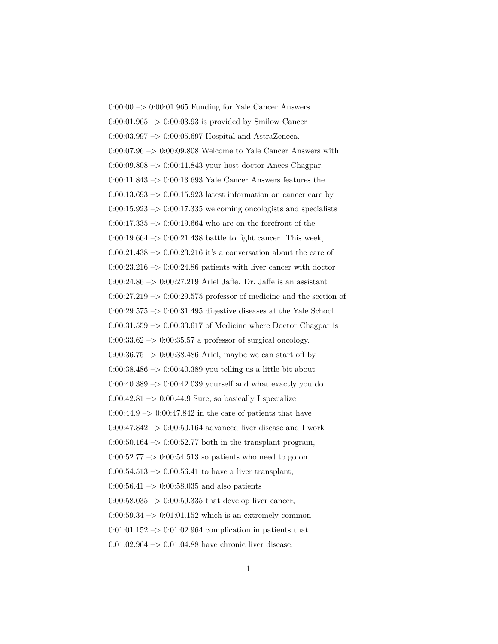$0:00:00 \rightarrow 0:00:01.965$  Funding for Yale Cancer Answers  $0:00:01.965 \rightarrow 0:00:03.93$  is provided by Smilow Cancer 0:00:03.997 –> 0:00:05.697 Hospital and AstraZeneca.  $0:00:07.96 \rightarrow 0:00:09.808$  Welcome to Yale Cancer Answers with 0:00:09.808 –> 0:00:11.843 your host doctor Anees Chagpar. 0:00:11.843 –> 0:00:13.693 Yale Cancer Answers features the  $0:00:13.693 \rightarrow 0:00:15.923$  latest information on cancer care by  $0:00:15.923 \rightarrow 0:00:17.335$  welcoming oncologists and specialists  $0:00:17.335 \rightarrow 0:00:19.664$  who are on the forefront of the 0:00:19.664  $\rightarrow$  0:00:21.438 battle to fight cancer. This week,  $0:00:21.438 \rightarrow 0:00:23.216$  it's a conversation about the care of  $0:00:23.216 \rightarrow 0:00:24.86$  patients with liver cancer with doctor 0:00:24.86 –> 0:00:27.219 Ariel Jaffe. Dr. Jaffe is an assistant  $0:00:27.219 \rightarrow 0:00:29.575$  professor of medicine and the section of  $0:00:29.575 \rightarrow 0:00:31.495$  digestive diseases at the Yale School  $0:00:31.559 \rightarrow 0:00:33.617$  of Medicine where Doctor Chagpar is  $0:00:33.62 \rightarrow 0:00:35.57$  a professor of surgical oncology. 0:00:36.75  $\rightarrow$  0:00:38.486 Ariel, maybe we can start off by  $0:00:38.486 \rightarrow 0:00:40.389$  you telling us a little bit about  $0:00:40.389 \rightarrow 0:00:42.039$  yourself and what exactly you do.  $0:00:42.81 \rightarrow 0:00:44.9$  Sure, so basically I specialize  $0:00:44.9 \rightarrow 0:00:47.842$  in the care of patients that have  $0:00:47.842 \rightarrow 0:00:50.164$  advanced liver disease and I work  $0:00:50.164 \rightarrow 0:00:52.77$  both in the transplant program,  $0:00:52.77 \rightarrow 0:00:54.513$  so patients who need to go on  $0:00:54.513 \rightarrow 0:00:56.41$  to have a liver transplant,  $0:00:56.41 \rightarrow 0:00:58.035$  and also patients  $0:00:58.035 \rightarrow 0:00:59.335$  that develop liver cancer,  $0:00:59.34 \rightarrow 0:01:01.152$  which is an extremely common  $0:01:01.152 \rightarrow 0:01:02.964$  complication in patients that  $0:01:02.964 \rightarrow 0:01:04.88$  have chronic liver disease.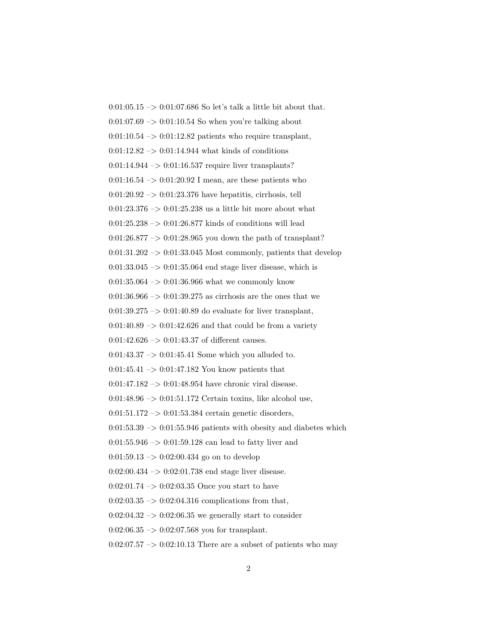0:01:05.15  $\rightarrow$  0:01:07.686 So let's talk a little bit about that.  $0:01:07.69 \rightarrow 0:01:10.54$  So when you're talking about  $0:01:10.54 \rightarrow 0:01:12.82$  patients who require transplant,  $0:01:12.82 \rightarrow 0:01:14.944$  what kinds of conditions  $0:01:14.944 \rightarrow 0:01:16.537$  require liver transplants? 0:01:16.54  $\rightarrow$  0:01:20.92 I mean, are these patients who  $0:01:20.92 \rightarrow 0:01:23.376$  have hepatitis, cirrhosis, tell 0:01:23.376  $\rightarrow$  0:01:25.238 us a little bit more about what 0:01:25.238  $\rightarrow$  0:01:26.877 kinds of conditions will lead 0:01:26.877  $\rightarrow$  0:01:28.965 you down the path of transplant?  $0:01:31.202 \rightarrow 0:01:33.045$  Most commonly, patients that develop  $0:01:33.045 \rightarrow 0:01:35.064$  end stage liver disease, which is  $0:01:35.064 \rightarrow 0:01:36.966$  what we commonly know  $0:01:36.966 \rightarrow 0:01:39.275$  as cirrhosis are the ones that we  $0:01:39.275 \rightarrow 0:01:40.89$  do evaluate for liver transplant,  $0:01:40.89 \rightarrow 0:01:42.626$  and that could be from a variety 0:01:42.626  $\rightarrow$  0:01:43.37 of different causes.  $0:01:43.37 \rightarrow 0:01:45.41$  Some which you alluded to.  $0:01:45.41 \rightarrow 0:01:47.182$  You know patients that  $0:01:47.182 \rightarrow 0:01:48.954$  have chronic viral disease.  $0:01:48.96 \rightarrow 0:01:51.172$  Certain toxins, like alcohol use,  $0:01:51.172 \rightarrow 0:01:53.384$  certain genetic disorders,  $0:01:53.39 \rightarrow 0:01:55.946$  patients with obesity and diabetes which  $0:01:55.946 \rightarrow 0:01:59.128$  can lead to fatty liver and  $0:01:59.13 \rightarrow 0:02:00.434$  go on to develop  $0:02:00.434 \rightarrow 0:02:01.738$  end stage liver disease. 0:02:01.74 –> 0:02:03.35 Once you start to have  $0:02:03.35 \rightarrow 0:02:04.316$  complications from that,  $0:02:04.32 \rightarrow 0:02:06.35$  we generally start to consider  $0:02:06.35 \rightarrow 0:02:07.568$  you for transplant.

 $0:02:07.57 \rightarrow 0:02:10.13$  There are a subset of patients who may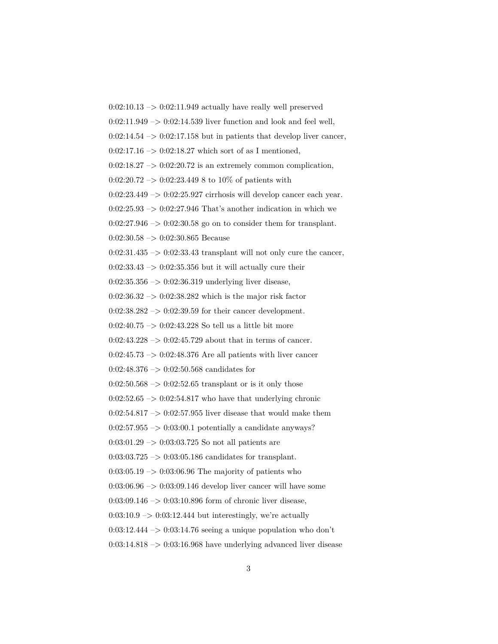$0:02:10.13 \rightarrow 0:02:11.949$  actually have really well preserved  $0:02:11.949 \rightarrow 0:02:14.539$  liver function and look and feel well,  $0:02:14.54 \rightarrow 0:02:17.158$  but in patients that develop liver cancer,  $0:02:17.16 \rightarrow 0:02:18.27$  which sort of as I mentioned,  $0:02:18.27 \rightarrow 0:02:20.72$  is an extremely common complication,  $0:02:20.72 \rightarrow 0:02:23.449 8$  to 10% of patients with 0:02:23.449 –> 0:02:25.927 cirrhosis will develop cancer each year.  $0:02:25.93 \rightarrow 0:02:27.946$  That's another indication in which we  $0:02:27.946 \rightarrow 0:02:30.58$  go on to consider them for transplant. 0:02:30.58 –> 0:02:30.865 Because  $0:02:31.435 \rightarrow 0:02:33.43$  transplant will not only cure the cancer,  $0:02:33.43 \rightarrow 0:02:35.356$  but it will actually cure their 0:02:35.356 –> 0:02:36.319 underlying liver disease,  $0:02:36.32 \rightarrow 0:02:38.282$  which is the major risk factor  $0:02:38.282 \rightarrow 0:02:39.59$  for their cancer development. 0:02:40.75  $\rightarrow$  0:02:43.228 So tell us a little bit more  $0:02:43.228 \rightarrow 0:02:45.729$  about that in terms of cancer.  $0:02:45.73 \rightarrow 0:02:48.376$  Are all patients with liver cancer  $0:02:48.376 \rightarrow 0:02:50.568$  candidates for  $0.02{\rm :}50.568$   $->$   $0.02{\rm :}52.65$  transplant or is it only those  $0:02:52.65 \rightarrow 0:02:54.817$  who have that underlying chronic  $0:02:54.817 \rightarrow 0:02:57.955$  liver disease that would make them  $0:02:57.955 \rightarrow 0:03:00.1$  potentially a candidate anyways? 0:03:01.29 –> 0:03:03.725 So not all patients are  $0:03:03.725 \rightarrow 0:03:05.186$  candidates for transplant.  $0:03:05.19 \rightarrow 0:03:06.96$  The majority of patients who  $0:03:06.96 \rightarrow 0:03:09.146$  develop liver cancer will have some 0:03:09.146 –> 0:03:10.896 form of chronic liver disease,  $0.03:10.9 \rightarrow 0.03:12.444$  but interestingly, we're actually  $0:03:12.444 \rightarrow 0:03:14.76$  seeing a unique population who don't  $0:03:14.818 \rightarrow 0:03:16.968$  have underlying advanced liver disease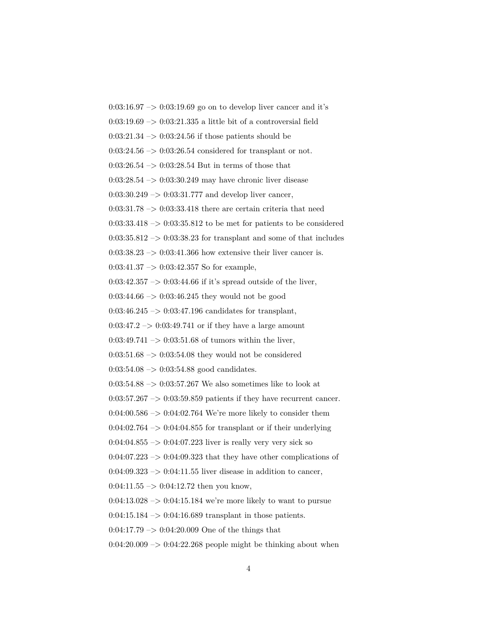$0:03:16.97 \rightarrow 0:03:19.69$  go on to develop liver cancer and it's  $0:03:19.69 \rightarrow 0:03:21.335$  a little bit of a controversial field  $0:03:21.34 \rightarrow 0:03:24.56$  if those patients should be  $0:03:24.56 \rightarrow 0:03:26.54$  considered for transplant or not.  $0:03:26.54 \rightarrow 0:03:28.54$  But in terms of those that  $0:03:28.54 \rightarrow 0:03:30.249$  may have chronic liver disease  $0:03:30.249 \rightarrow 0:03:31.777$  and develop liver cancer,  $0:03:31.78 \rightarrow 0:03:33.418$  there are certain criteria that need  $0:03:33.418 \rightarrow 0:03:35.812$  to be met for patients to be considered  $0:03:35.812 \rightarrow 0:03:38.23$  for transplant and some of that includes  $0:03:38.23 \rightarrow 0:03:41.366$  how extensive their liver cancer is. 0:03:41.37 –> 0:03:42.357 So for example,  $0:03:42.357 \rightarrow 0:03:44.66$  if it's spread outside of the liver,  $0:03:44.66 \rightarrow 0:03:46.245$  they would not be good  $0:03:46.245 \rightarrow 0:03:47.196$  candidates for transplant,  $0:03:47.2 \rightarrow 0:03:49.741$  or if they have a large amount  $0:03:49.741 \rightarrow 0:03:51.68$  of tumors within the liver,  $0:03:51.68 \rightarrow 0:03:54.08$  they would not be considered  $0:03:54.08 \rightarrow 0:03:54.88$  good candidates.  $0:03:54.88 \rightarrow 0:03:57.267$  We also sometimes like to look at  $0:03:57.267 \rightarrow 0:03:59.859$  patients if they have recurrent cancer.  $0.04:00.586 \rightarrow 0.04:02.764$  We're more likely to consider them  $0:04:02.764 \rightarrow 0:04:04.855$  for transplant or if their underlying  $0:04:04.855 \rightarrow 0:04:07.223$  liver is really very very sick so  $0.04:07.223 \rightarrow 0.04:09.323$  that they have other complications of  $0:04:09.323 \rightarrow 0:04:11.55$  liver disease in addition to cancer,  $0:04:11.55 \rightarrow 0:04:12.72$  then you know,  $0:04:13.028 \rightarrow 0:04:15.184$  we're more likely to want to pursue  $0:04:15.184 \rightarrow 0:04:16.689$  transplant in those patients.  $0:04:17.79 \rightarrow 0:04:20.009$  One of the things that  $0:04:20.009 \rightarrow 0:04:22.268$  people might be thinking about when

4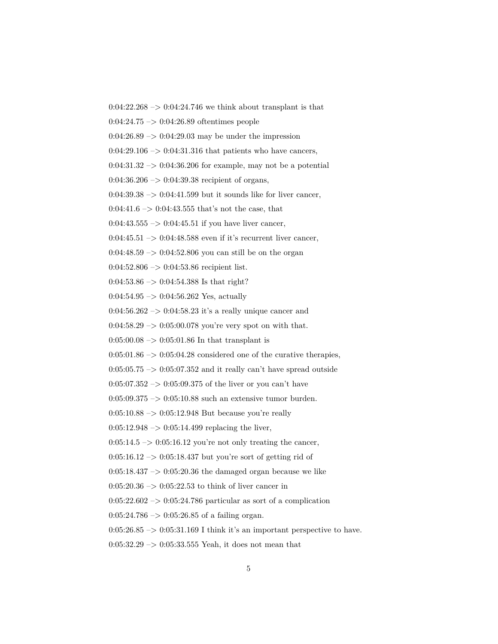$0:04:22.268 \rightarrow 0:04:24.746$  we think about transplant is that

0:04:24.75 –> 0:04:26.89 oftentimes people

 $0:04:26.89 \rightarrow 0:04:29.03$  may be under the impression

 $0:04:29.106 \rightarrow 0:04:31.316$  that patients who have cancers,

0:04:31.32  $\rightarrow$  0:04:36.206 for example, may not be a potential

 $0:04:36.206 \rightarrow 0:04:39.38$  recipient of organs,

 $0:04:39.38 \rightarrow 0:04:41.599$  but it sounds like for liver cancer,

 $0:04:41.6 \rightarrow 0:04:43.555$  that's not the case, that

 $0:04:43.555 \rightarrow 0:04:45.51$  if you have liver cancer,

 $0:04:45.51 \rightarrow 0:04:48.588$  even if it's recurrent liver cancer,

 $0.04:48.59 \rightarrow 0.04:52.806$  you can still be on the organ

0:04:52.806 –> 0:04:53.86 recipient list.

0:04:53.86 –> 0:04:54.388 Is that right?

 $0:04:54.95 \rightarrow 0:04:56.262$  Yes, actually

0:04:56.262 –> 0:04:58.23 it's a really unique cancer and

 $0:04:58.29 \rightarrow 0:05:00.078$  you're very spot on with that.

 $0:05:00.08 \rightarrow 0:05:01.86$  In that transplant is

 $0:05:01.86 \rightarrow 0:05:04.28$  considered one of the curative therapies,

 $0:05:05.75 \rightarrow 0:05:07.352$  and it really can't have spread outside

 $0:05:07.352 \rightarrow 0:05:09.375$  of the liver or you can't have

 $0:05:09.375 \rightarrow 0:05:10.88$  such an extensive tumor burden.

 $0:05:10.88 \rightarrow 0:05:12.948$  But because you're really

 $0:05:12.948 \rightarrow 0:05:14.499$  replacing the liver,

 $0:05:14.5 \rightarrow 0:05:16.12$  you're not only treating the cancer,

 $0:05:16.12 \rightarrow 0:05:18.437$  but you're sort of getting rid of

 $0:05:18.437 \rightarrow 0:05:20.36$  the damaged organ because we like

 $0:05:20.36 \rightarrow 0:05:22.53$  to think of liver cancer in

 $0:05:22.602 \rightarrow 0:05:24.786$  particular as sort of a complication

 $0:05:24.786 \rightarrow 0:05:26.85$  of a failing organ.

 $0:05:26.85 \rightarrow 0:05:31.169$  I think it's an important perspective to have.

 $0:05:32.29 \rightarrow 0:05:33.555$  Yeah, it does not mean that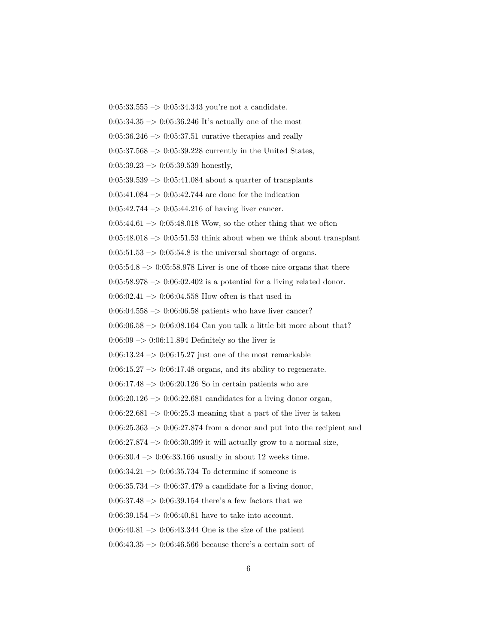0:05:33.555 –> 0:05:34.343 you're not a candidate.  $0:05:34.35 \rightarrow 0:05:36.246$  It's actually one of the most  $0:05:36.246 \rightarrow 0:05:37.51$  curative therapies and really  $0:05:37.568 \rightarrow 0:05:39.228$  currently in the United States,  $0:05:39.23 \rightarrow 0:05:39.539$  honestly,  $0:05:39.539 \rightarrow 0:05:41.084$  about a quarter of transplants  $0:05:41.084 \rightarrow 0:05:42.744$  are done for the indication  $0:05:42.744 \rightarrow 0:05:44.216$  of having liver cancer.  $0:05:44.61 \rightarrow 0:05:48.018$  Wow, so the other thing that we often  $0:05:48.018 \rightarrow 0:05:51.53$  think about when we think about transplant  $0:05:51.53 \rightarrow 0:05:54.8$  is the universal shortage of organs.  $0:05:54.8 \rightarrow 0:05:58.978$  Liver is one of those nice organs that there  $0:05:58.978 \rightarrow 0:06:02.402$  is a potential for a living related donor. 0:06:02.41  $\mathnormal{\rightarrow}$  0:06:04.558 How often is that used in  $0:06:04.558 \rightarrow 0:06:06.58$  patients who have liver cancer?  $0:06:06.58 \rightarrow 0:06:08.164$  Can you talk a little bit more about that?  $0.06:09 \rightarrow 0.06:11.894$  Definitely so the liver is  $0:06:13.24 \rightarrow 0:06:15.27$  just one of the most remarkable  $0.06:15.27 \rightarrow 0.06:17.48$  organs, and its ability to regenerate.  $0:06:17.48 \rightarrow 0:06:20.126$  So in certain patients who are  $0:06:20.126 \rightarrow 0:06:22.681$  candidates for a living donor organ,  $0:06:22.681 \rightarrow 0:06:25.3$  meaning that a part of the liver is taken  $0:06:25.363 \rightarrow 0:06:27.874$  from a donor and put into the recipient and  $0:06:27.874 \rightarrow 0:06:30.399$  it will actually grow to a normal size, 0:06:30.4 –> 0:06:33.166 usually in about 12 weeks time.  $0:06:34.21 \rightarrow 0:06:35.734$  To determine if someone is 0:06:35.734  $\rightarrow$  0:06:37.479 a candidate for a living donor, 0:06:37.48  $\rightarrow$  0:06:39.154 there's a few factors that we  $0:06:39.154 \rightarrow 0:06:40.81$  have to take into account.  $0.06:40.81 \rightarrow 0.06:43.344$  One is the size of the patient  $0.06:43.35 \rightarrow 0.06:46.566$  because there's a certain sort of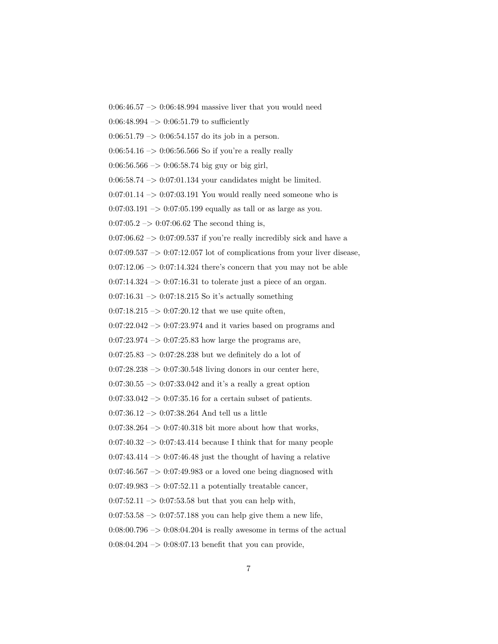$0:06:46.57 \rightarrow 0:06:48.994$  massive liver that you would need

 $0:06:48.994 \rightarrow 0:06:51.79$  to sufficiently

 $0:06:51.79 \rightarrow 0:06:54.157$  do its job in a person.

 $0:06:54.16 \rightarrow 0:06:56.566$  So if you're a really really

 $0:06:56.566 \rightarrow 0:06:58.74$  big guy or big girl,

 $0.06:58.74 \rightarrow 0.07:01.134$  your candidates might be limited.

 $0:07:01.14 \rightarrow 0:07:03.191$  You would really need someone who is

 $0:07:03.191 \rightarrow 0:07:05.199$  equally as tall or as large as you.

 $0:07:05.2 \rightarrow 0:07:06.62$  The second thing is,

 $0:07:06.62 \rightarrow 0:07:09.537$  if you're really incredibly sick and have a

 $0.07:09.537 \rightarrow 0.07:12.057$  lot of complications from your liver disease,

 $0:07:12.06 \rightarrow 0:07:14.324$  there's concern that you may not be able

 $0:07:14.324 \rightarrow 0:07:16.31$  to tolerate just a piece of an organ.

 $0:07:16.31 \rightarrow 0:07:18.215$  So it's actually something

 $0:07:18.215 \rightarrow 0:07:20.12$  that we use quite often,

 $0:07:22.042 \rightarrow 0:07:23.974$  and it varies based on programs and

 $0:07:23.974 \rightarrow 0:07:25.83$  how large the programs are,

 $0:07:25.83 \rightarrow 0:07:28.238$  but we definitely do a lot of

 $0:07:28.238 \rightarrow 0:07:30.548$  living donors in our center here,

 $0:07:30.55 \rightarrow 0:07:33.042$  and it's a really a great option

 $0:07:33.042 \rightarrow 0:07:35.16$  for a certain subset of patients.

0:07:36.12 –> 0:07:38.264 And tell us a little

 $0:07:38.264 \rightarrow 0:07:40.318$  bit more about how that works,

 $0:07:40.32 \rightarrow 0:07:43.414$  because I think that for many people

 $0:07:43.414 \rightarrow 0:07:46.48$  just the thought of having a relative

0:07:46.567  $\rightarrow$  0:07:49.983 or a loved one being diagnosed with

 $0:07:49.983 \rightarrow 0:07:52.11$  a potentially treatable cancer,

 $0:07:52.11 \rightarrow 0:07:53.58$  but that you can help with,

 $0:07:53.58 \rightarrow 0:07:57.188$  you can help give them a new life,

 $0:08:00.796 \rightarrow 0:08:04.204$  is really awesome in terms of the actual

 $0:08:04.204 \rightarrow 0:08:07.13$  benefit that you can provide,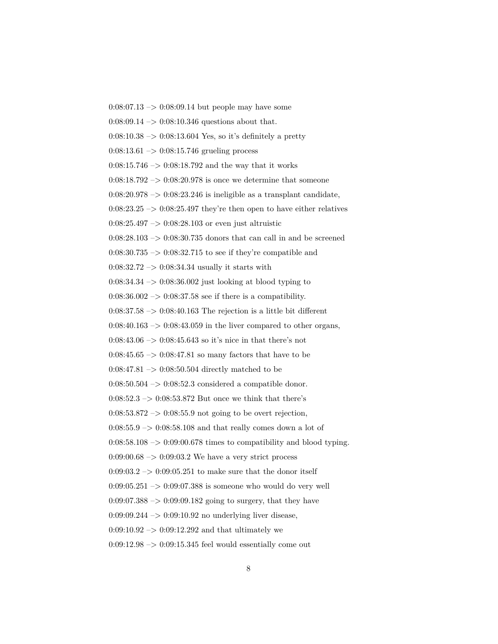$0:08:07.13 \rightarrow 0:08:09.14$  but people may have some  $0:08:09.14 \rightarrow 0:08:10.346$  questions about that.  $0.08:10.38 \rightarrow 0.08:13.604$  Yes, so it's definitely a pretty  $0:08:13.61 \rightarrow 0:08:15.746$  grueling process  $0:08:15.746 \rightarrow 0:08:18.792$  and the way that it works  $0:08:18.792 \rightarrow 0:08:20.978$  is once we determine that someone  $0:08:20.978 \rightarrow 0:08:23.246$  is ineligible as a transplant candidate,  $0:08:23.25 \rightarrow 0:08:25.497$  they're then open to have either relatives  $0:08:25.497 \rightarrow 0:08:28.103$  or even just altruistic  $0:08:28.103 \rightarrow 0:08:30.735$  donors that can call in and be screened  $0.08:30.735 \rightarrow 0.08:32.715$  to see if they're compatible and 0:08:32.72 –> 0:08:34.34 usually it starts with 0:08:34.34 –> 0:08:36.002 just looking at blood typing to  $0.08:36.002 \rightarrow 0.08:37.58$  see if there is a compatibility.  $0:08:37.58 \rightarrow 0:08:40.163$  The rejection is a little bit different  $0:08:40.163 \rightarrow 0:08:43.059$  in the liver compared to other organs, 0:08:43.06  $\rightarrow$  0:08:45.643 so it's nice in that there's not  $0:08:45.65 \rightarrow 0:08:47.81$  so many factors that have to be 0:08:47.81 –> 0:08:50.504 directly matched to be  $0:08:50.504 \rightarrow 0:08:52.3$  considered a compatible donor. 0:08:52.3  $\rightarrow$  0:08:53.872 But once we think that there's  $0.08:53.872 \rightarrow 0.08:55.9$  not going to be overt rejection,  $0:08:55.9 \rightarrow 0:08:58.108$  and that really comes down a lot of  $0:08:58.108 \rightarrow 0:09:00.678$  times to compatibility and blood typing.  $0.09:00.68 \rightarrow 0.09:03.2$  We have a very strict process  $0.09:03.2 \rightarrow 0.09:05.251$  to make sure that the donor itself  $0:09:05.251 \rightarrow 0:09:07.388$  is someone who would do very well  $0:09:07.388 \rightarrow 0:09:09.182$  going to surgery, that they have 0:09:09.244  $\rightarrow$  0:09:10.92 no underlying liver disease,  $0:09:10.92 \rightarrow 0:09:12.292$  and that ultimately we  $0.09:12.98 \rightarrow 0.09:15.345$  feel would essentially come out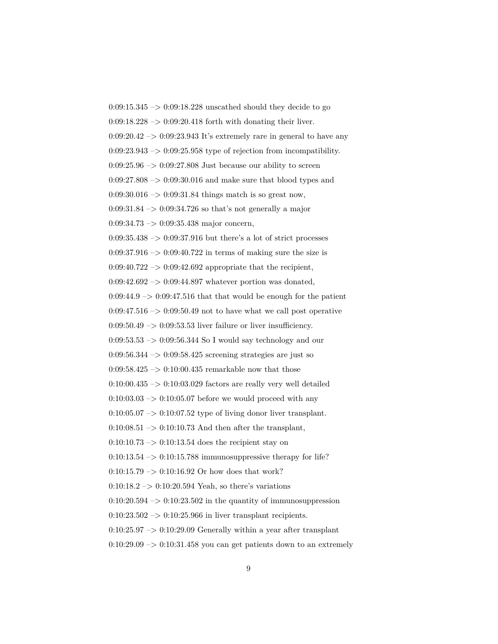$0:09:15.345 \rightarrow 0:09:18.228$  unscathed should they decide to go 0:09:18.228 –> 0:09:20.418 forth with donating their liver.  $0:09:20.42 \rightarrow 0:09:23.943$  It's extremely rare in general to have any  $0:09:23.943 \rightarrow 0:09:25.958$  type of rejection from incompatibility.  $0:09:25.96 \rightarrow 0:09:27.808$  Just because our ability to screen  $0:09:27.808 \rightarrow 0:09:30.016$  and make sure that blood types and 0:09:30.016  $\rightarrow$  0:09:31.84 things match is so great now,  $0:09:31.84 \rightarrow 0:09:34.726$  so that's not generally a major 0:09:34.73 –> 0:09:35.438 major concern,  $0.09:35.438 \rightarrow 0.09:37.916$  but there's a lot of strict processes  $0:09:37.916 \rightarrow 0:09:40.722$  in terms of making sure the size is  $0:09:40.722 \rightarrow 0:09:42.692$  appropriate that the recipient,  $0:09:42.692 \rightarrow 0:09:44.897$  whatever portion was donated,  $0:09:44.9 \rightarrow 0:09:47.516$  that that would be enough for the patient  $0.09:47.516 \rightarrow 0.09:50.49$  not to have what we call post operative  $0:09:50.49 \rightarrow 0:09:53.53$  liver failure or liver insufficiency.  $0:09:53.53 \rightarrow 0:09:56.344$  So I would say technology and our 0:09:56.344 –> 0:09:58.425 screening strategies are just so 0:09:58.425  $\rightarrow$  0:10:00.435 remarkable now that those  $0:10:00.435 \rightarrow 0:10:03.029$  factors are really very well detailed  $0:10:03.03 \rightarrow 0:10:05.07$  before we would proceed with any  $0:10:05.07 \rightarrow 0:10:07.52$  type of living donor liver transplant.  $0:10:08.51 \rightarrow 0:10:10.73$  And then after the transplant,  $0:10:10.73 \rightarrow 0:10:13.54$  does the recipient stay on  $0:10:13.54 \rightarrow 0:10:15.788$  immunosuppressive therapy for life?  $0:10:15.79 \rightarrow 0:10:16.92$  Or how does that work?  $0:10:18.2 \rightarrow 0:10:20.594$  Yeah, so there's variations  $0:10:20.594 \rightarrow 0:10:23.502$  in the quantity of immunosuppression  $0:10:23.502 \rightarrow 0:10:25.966$  in liver transplant recipients.  $0:10:25.97 \rightarrow 0:10:29.09$  Generally within a year after transplant  $0:10:29.09 \rightarrow 0:10:31.458$  you can get patients down to an extremely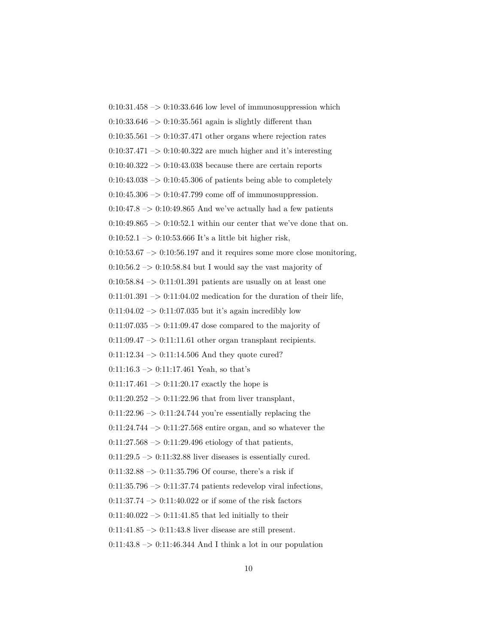$0:10:31.458 \rightarrow 0:10:33.646$  low level of immunosuppression which  $0.10:33.646 \rightarrow 0.10:35.561$  again is slightly different than  $0:10:35.561 \rightarrow 0:10:37.471$  other organs where rejection rates  $0:10:37.471 \rightarrow 0:10:40.322$  are much higher and it's interesting  $0:10:40.322 \rightarrow 0:10:43.038$  because there are certain reports  $0:10:43.038 \rightarrow 0:10:45.306$  of patients being able to completely  $0:10:45.306 \rightarrow 0:10:47.799$  come off of immunosuppression.  $0:10:47.8 \rightarrow 0:10:49.865$  And we've actually had a few patients  $0:10:49.865 \rightarrow 0:10:52.1$  within our center that we've done that on. 0:10:52.1 –> 0:10:53.666 It's a little bit higher risk,  $0:10:53.67 \rightarrow 0:10:56.197$  and it requires some more close monitoring,  $0:10:56.2 \rightarrow 0:10:58.84$  but I would say the vast majority of  $0:10:58.84 \rightarrow 0:11:01.391$  patients are usually on at least one  $0:11:01.391 \rightarrow 0:11:04.02$  medication for the duration of their life,  $0:11:04.02 \rightarrow 0:11:07.035$  but it's again incredibly low  $0:11:07.035 \rightarrow 0:11:09.47$  dose compared to the majority of  $0:11:09.47 \rightarrow 0:11:11.61$  other organ transplant recipients.  $0:11:12.34 \rightarrow 0:11:14.506$  And they quote cured?  $0:11:16.3 \rightarrow 0:11:17.461$  Yeah, so that's  $0:11:17.461 \rightarrow 0:11:20.17$  exactly the hope is  $0:11:20.252 \rightarrow 0:11:22.96$  that from liver transplant,  $0:11:22.96 \rightarrow 0:11:24.744$  you're essentially replacing the  $0:11:24.744 \rightarrow 0:11:27.568$  entire organ, and so whatever the  $0:11:27.568 \rightarrow 0:11:29.496$  etiology of that patients,  $0:11:29.5 \rightarrow 0:11:32.88$  liver diseases is essentially cured.  $0:11:32.88 \rightarrow 0:11:35.796$  Of course, there's a risk if  $0:11:35.796 \rightarrow 0:11:37.74$  patients redevelop viral infections,  $0:11:37.74 \rightarrow 0:11:40.022$  or if some of the risk factors  $0:11:40.022 \rightarrow 0:11:41.85$  that led initially to their  $0:11:41.85 \rightarrow 0:11:43.8$  liver disease are still present.  $0:11:43.8 \rightarrow 0:11:46.344$  And I think a lot in our population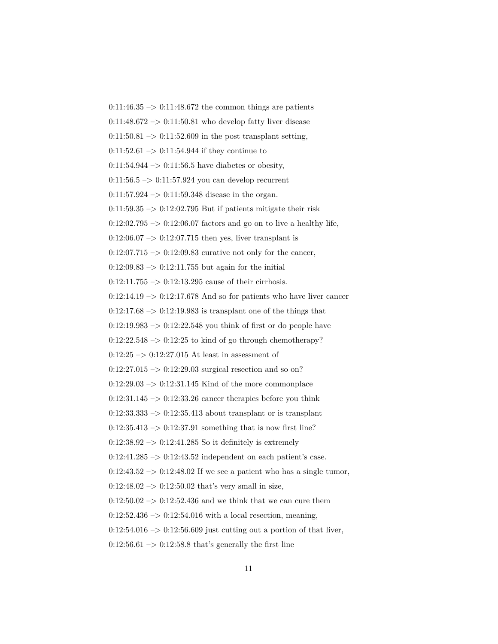$0:11:46.35 \rightarrow 0:11:48.672$  the common things are patients  $0:11:48.672 \rightarrow 0:11:50.81$  who develop fatty liver disease  $0:11:50.81 \rightarrow 0:11:52.609$  in the post transplant setting,  $0:11:52.61 \rightarrow 0:11:54.944$  if they continue to  $0:11:54.944 \rightarrow 0:11:56.5$  have diabetes or obesity,  $0:11:56.5 \rightarrow 0:11:57.924$  you can develop recurrent 0:11:57.924  $->$  0:11:59.348 disease in the organ.  $0:11:59.35 \rightarrow 0:12:02.795$  But if patients mitigate their risk  $0:12:02.795 \rightarrow 0:12:06.07$  factors and go on to live a healthy life,  $0:12:06.07 \rightarrow 0:12:07.715$  then yes, liver transplant is  $0:12:07.715 \rightarrow 0:12:09.83$  curative not only for the cancer,  $0:12:09.83 \rightarrow 0:12:11.755$  but again for the initial  $0:12:11.755 \rightarrow 0:12:13.295$  cause of their cirrhosis.  $0:12:14.19 \rightarrow 0:12:17.678$  And so for patients who have liver cancer  $0:12:17.68 \rightarrow 0:12:19.983$  is transplant one of the things that  $0:12:19.983 \rightarrow 0:12:22.548$  you think of first or do people have  $0:12:22.548 \rightarrow 0:12:25$  to kind of go through chemotherapy?  $0:12:25 \rightarrow 0:12:27.015$  At least in assessment of  $0:12:27.015 \rightarrow 0:12:29.03$  surgical resection and so on?  $0:12:29.03 \rightarrow 0:12:31.145$  Kind of the more commonplace  $0:12:31.145 \rightarrow 0:12:33.26$  cancer therapies before you think  $0:12:33.333 \rightarrow 0:12:35.413$  about transplant or is transplant  $0:12:35.413 \rightarrow 0:12:37.91$  something that is now first line?  $0:12:38.92 \rightarrow 0:12:41.285$  So it definitely is extremely  $0:12:41.285 \rightarrow 0:12:43.52$  independent on each patient's case.  $0:12:43.52 \rightarrow 0:12:48.02$  If we see a patient who has a single tumor,  $0:12:48.02 \rightarrow 0:12:50.02$  that's very small in size,  $0:12:50.02 \rightarrow 0:12:52.436$  and we think that we can cure them  $0:12:52.436 \rightarrow 0:12:54.016$  with a local resection, meaning,  $0:12:54.016 \rightarrow 0:12:56.609$  just cutting out a portion of that liver,  $0:12:56.61 \rightarrow 0:12:58.8$  that's generally the first line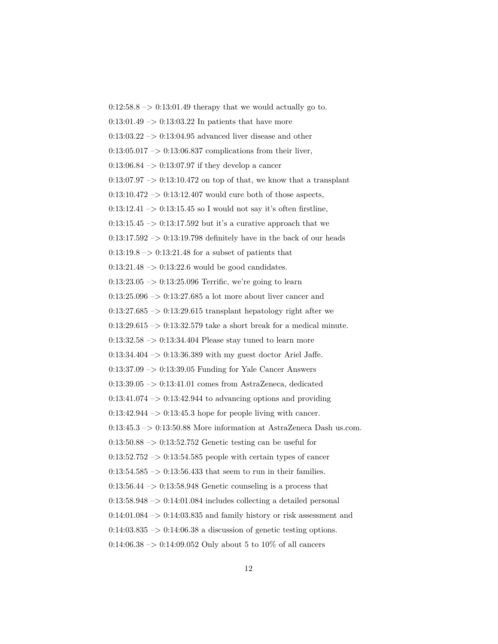$0:12:58.8 \rightarrow 0:13:01.49$  therapy that we would actually go to.  $0:13:01.49 \rightarrow 0:13:03.22$  In patients that have more  $0:13:03.22 \rightarrow 0:13:04.95$  advanced liver disease and other  $0:13:05.017 \rightarrow 0:13:06.837$  complications from their liver,  $0:13:06.84 \rightarrow 0:13:07.97$  if they develop a cancer  $0:13:07.97 \rightarrow 0:13:10.472$  on top of that, we know that a transplant  $0:13:10.472\ensuremath{\rightarrow} 0:13:12.407$  would cure both of those aspects,  $0:13:12.41 \rightarrow 0:13:15.45$  so I would not say it's often firstline,  $0:13:15.45 \rightarrow 0:13:17.592$  but it's a curative approach that we  $0:13:17.592 \rightarrow 0:13:19.798$  definitely have in the back of our heads  $0:13:19.8 \rightarrow 0:13:21.48$  for a subset of patients that  $0:13:21.48 \rightarrow 0:13:22.6$  would be good candidates.  $0:13:23.05 \rightarrow 0:13:25.096$  Terrific, we're going to learn  $0:13:25.096 \rightarrow 0:13:27.685$  a lot more about liver cancer and  $0:13:27.685 \rightarrow 0:13:29.615$  transplant hepatology right after we  $0:13:29.615 \rightarrow 0:13:32.579$  take a short break for a medical minute.  $0:13:32.58 \rightarrow 0:13:34.404$  Please stay tuned to learn more 0:13:34.404 –> 0:13:36.389 with my guest doctor Ariel Jaffe.  $0.13:37.09 \rightarrow 0.13:39.05$  Funding for Yale Cancer Answers 0:13:39.05 –> 0:13:41.01 comes from AstraZeneca, dedicated  $0:13:41.074 \rightarrow 0:13:42.944$  to advancing options and providing  $0:13:42.944 \rightarrow 0:13:45.3$  hope for people living with cancer.  $0:13:45.3 \rightarrow 0:13:50.88$  More information at AstraZeneca Dash us.com.  $0:13:50.88 \rightarrow 0:13:52.752$  Genetic testing can be useful for  $0:13:52.752 \rightarrow 0:13:54.585$  people with certain types of cancer  $0:13:54.585 \rightarrow 0:13:56.433$  that seem to run in their families.  $0:13:56.44 \rightarrow 0:13:58.948$  Genetic counseling is a process that  $0:13:58.948 \rightarrow 0:14:01.084$  includes collecting a detailed personal  $0:14:01.084 \rightarrow 0:14:03.835$  and family history or risk assessment and  $0:14:03.835 \rightarrow 0:14:06.38$  a discussion of genetic testing options.  $0.14:06.38 \rightarrow 0.14:09.052$  Only about 5 to 10% of all cancers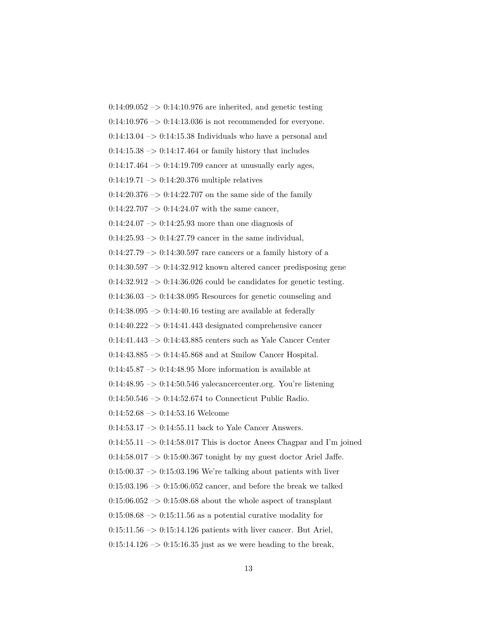$0:14:09.052 \rightarrow 0:14:10.976$  are inherited, and genetic testing  $0:14:10.976 \rightarrow 0:14:13.036$  is not recommended for everyone.  $0:14:13.04 \rightarrow 0:14:15.38$  Individuals who have a personal and  $0:14:15.38 \rightarrow 0:14:17.464$  or family history that includes  $0:14:17.464 \rightarrow 0:14:19.709$  cancer at unusually early ages,  $0:14:19.71 \rightarrow 0:14:20.376$  multiple relatives  $0.14:20.376 \rightarrow 0.14:22.707$  on the same side of the family  $0:14:22.707 \rightarrow 0:14:24.07$  with the same cancer,  $0:14:24.07 \rightarrow 0:14:25.93$  more than one diagnosis of  $0:14:25.93 \rightarrow 0:14:27.79$  cancer in the same individual,  $0:14:27.79 \rightarrow 0:14:30.597$  rare cancers or a family history of a  $0:14:30.597 \rightarrow 0:14:32.912$  known altered cancer predisposing gene  $0:14:32.912 \rightarrow 0:14:36.026$  could be candidates for genetic testing.  $0:14:36.03 \rightarrow 0:14:38.095$  Resources for genetic counseling and  $0:14:38.095 \rightarrow 0:14:40.16$  testing are available at federally  $0:14:40.222 \rightarrow 0:14:41.443$  designated comprehensive cancer  $0:14:41.443 \rightarrow 0:14:43.885$  centers such as Yale Cancer Center 0:14:43.885 –> 0:14:45.868 and at Smilow Cancer Hospital.  $0.14:45.87 \rightarrow 0.14:48.95$  More information is available at  $0:14:48.95 \rightarrow 0:14:50.546$  yalecancercenter.org. You're listening 0:14:50.546 –> 0:14:52.674 to Connecticut Public Radio. 0:14:52.68 –> 0:14:53.16 Welcome  $0:14:53.17 \rightarrow 0:14:55.11$  back to Yale Cancer Answers.  $0:14:55.11 \rightarrow 0:14:58.017$  This is doctor Anees Chagpar and I'm joined  $0:14:58.017 \rightarrow 0:15:00.367$  tonight by my guest doctor Ariel Jaffe.  $0:15:00.37 \rightarrow 0:15:03.196$  We're talking about patients with liver  $0:15:03.196 \rightarrow 0:15:06.052$  cancer, and before the break we talked  $0:15:06.052 \rightarrow 0:15:08.68$  about the whole aspect of transplant  $0:15:08.68 \rightarrow 0:15:11.56$  as a potential curative modality for  $0:15:11.56 \rightarrow 0:15:14.126$  patients with liver cancer. But Ariel,  $0:15:14.126 \rightarrow 0:15:16.35$  just as we were heading to the break,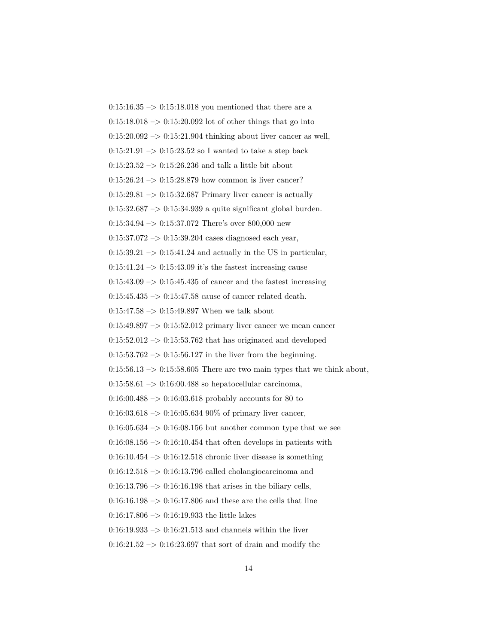$0:15:16.35 \rightarrow 0:15:18.018$  you mentioned that there are a  $0:15:18.018 \rightarrow 0:15:20.092$  lot of other things that go into  $0:15:20.092 \rightarrow 0:15:21.904$  thinking about liver cancer as well,  $0:15:21.91 \rightarrow 0:15:23.52$  so I wanted to take a step back  $0:15:23.52 \rightarrow 0:15:26.236$  and talk a little bit about  $0:15:26.24 \rightarrow 0:15:28.879$  how common is liver cancer?  $0:15:29.81 \rightarrow 0:15:32.687$  Primary liver cancer is actually  $0:15:32.687 \rightarrow 0:15:34.939$  a quite significant global burden.  $0:15:34.94 \rightarrow 0:15:37.072$  There's over 800,000 new  $0:15:37.072 \rightarrow 0:15:39.204$  cases diagnosed each year,  $0:15:39.21 \rightarrow 0:15:41.24$  and actually in the US in particular,  $0:15:41.24 \rightarrow 0:15:43.09$  it's the fastest increasing cause  $0:15:43.09 \rightarrow 0:15:45.435$  of cancer and the fastest increasing  $0:15:45.435 \rightarrow 0:15:47.58$  cause of cancer related death.  $0:15:47.58 \rightarrow 0:15:49.897$  When we talk about  $0:15:49.897 \rightarrow 0:15:52.012$  primary liver cancer we mean cancer  $0:15:52.012 \rightarrow 0:15:53.762$  that has originated and developed  $0:15:53.762 \rightarrow 0:15:56.127$  in the liver from the beginning.  $0:15:56.13 \rightarrow 0:15:58.605$  There are two main types that we think about,  $0:15:58.61 \rightarrow 0:16:00.488$  so hepatocellular carcinoma, 0:16:00.488 –> 0:16:03.618 probably accounts for 80 to  $0.16:03.618 \rightarrow 0.16:05.63490\%$  of primary liver cancer,  $0:16:05.634 \rightarrow 0:16:08.156$  but another common type that we see  $0:16:08.156 \rightarrow 0:16:10.454$  that often develops in patients with  $0.16:10.454 \rightarrow 0.16:12.518$  chronic liver disease is something  $0:16:12.518 \rightarrow 0:16:13.796$  called cholangiocarcinoma and  $0:16:13.796 \rightarrow 0:16:16.198$  that arises in the biliary cells,  $0:16:16.198 \rightarrow 0:16:17.806$  and these are the cells that line  $0:16:17.806 \rightarrow 0:16:19.933$  the little lakes  $0:16:19.933 \rightarrow 0:16:21.513$  and channels within the liver  $0:16:21.52 \rightarrow 0:16:23.697$  that sort of drain and modify the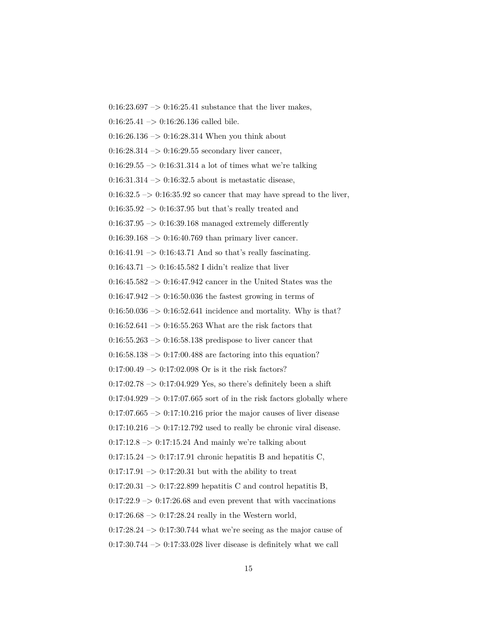$0:16:25.41 \rightarrow 0:16:26.136$  called bile.  $0:16:26.136 \rightarrow 0:16:28.314$  When you think about  $0:16:28.314 \rightarrow 0:16:29.55$  secondary liver cancer,  $0:16:29.55 \rightarrow 0:16:31.314$  a lot of times what we're talking  $0:16:31.314 \rightarrow 0:16:32.5$  about is metastatic disease,  $0:16:32.5 \rightarrow 0:16:35.92$  so cancer that may have spread to the liver,  $0:16:35.92 \rightarrow 0:16:37.95$  but that's really treated and  $0:16:37.95 \rightarrow 0:16:39.168$  managed extremely differently  $0:16:39.168 \rightarrow 0:16:40.769$  than primary liver cancer.  $0:16:41.91 \rightarrow 0:16:43.71$  And so that's really fascinating. 0:16:43.71 –> 0:16:45.582 I didn't realize that liver  $0:16:45.582 \rightarrow 0:16:47.942$  cancer in the United States was the  $0:16:47.942 \rightarrow 0:16:50.036$  the fastest growing in terms of  $0.16:50.036 \rightarrow 0.16:52.641$  incidence and mortality. Why is that?  $0:16:52.641 \rightarrow 0:16:55.263$  What are the risk factors that  $0:16:55.263 \rightarrow 0:16:58.138$  predispose to liver cancer that  $0.16:58.138 \rightarrow 0.17:00.488$  are factoring into this equation?  $0:17:00.49 \rightarrow 0:17:02.098$  Or is it the risk factors?  $0:17:02.78 \rightarrow 0:17:04.929$  Yes, so there's definitely been a shift  $0:17:04.929 \rightarrow 0:17:07.665$  sort of in the risk factors globally where  $0:17:07.665 \rightarrow 0:17:10.216$  prior the major causes of liver disease  $0:17:10.216 \rightarrow 0:17:12.792$  used to really be chronic viral disease.  $0:17:12.8 \rightarrow 0:17:15.24$  And mainly we're talking about  $0:17:15.24 \rightarrow 0:17:17.91$  chronic hepatitis B and hepatitis C,  $0:17:17.91 \rightarrow 0:17:20.31$  but with the ability to treat  $0:17:20.31 \rightarrow 0:17:22.899$  hepatitis C and control hepatitis B,  $0:17:22.9 \rightarrow 0:17:26.68$  and even prevent that with vaccinations  $0:17:26.68 \rightarrow 0:17:28.24$  really in the Western world,  $0:17:28.24 \rightarrow 0:17:30.744$  what we're seeing as the major cause of  $0:17:30.744 \rightarrow 0:17:33.028$  liver disease is definitely what we call

 $0.16:23.697 \rightarrow 0.16:25.41$  substance that the liver makes,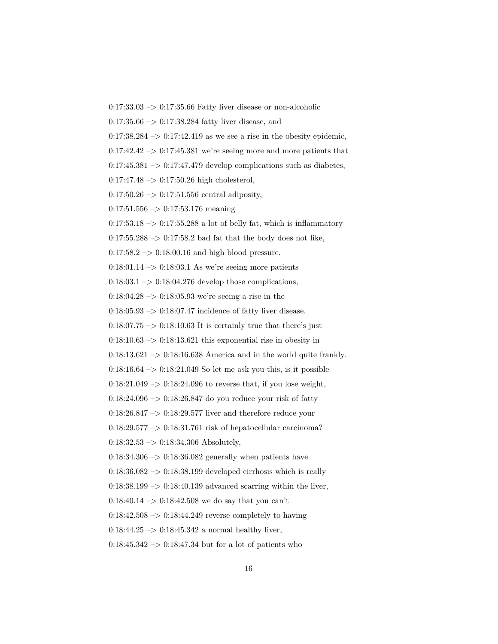$0:17:33.03 \rightarrow 0:17:35.66$  Fatty liver disease or non-alcoholic

0:17:35.66 –> 0:17:38.284 fatty liver disease, and

 $0:17:38.284 \rightarrow 0:17:42.419$  as we see a rise in the obesity epidemic,

 $0:17:42.42 \rightarrow 0:17:45.381$  we're seeing more and more patients that

 $0:17:45.381 \rightarrow 0:17:47.479$  develop complications such as diabetes,

 $0:17:47.48 \rightarrow 0:17:50.26$  high cholesterol,

 $0:17:50.26 \rightarrow 0:17:51.556$  central adiposity,

 $0:17:51.556 \rightarrow 0:17:53.176$  meaning

 $0:17:53.18 \rightarrow 0:17:55.288$  a lot of belly fat, which is inflammatory

 $0:17:55.288 \rightarrow 0:17:58.2$  bad fat that the body does not like,

 $0:17:58.2 \rightarrow 0:18:00.16$  and high blood pressure.

 $0:18:01.14 \rightarrow 0:18:03.1$  As we're seeing more patients

 $0:18:03.1 \rightarrow 0:18:04.276$  develop those complications,

 $0:18:04.28 \rightarrow 0:18:05.93$  we're seeing a rise in the

 $0.18:05.93 \rightarrow 0.18:07.47$  incidence of fatty liver disease.

 $0:18:07.75 \rightarrow 0:18:10.63$  It is certainly true that there's just

 $0:18:10.63 \rightarrow 0:18:13.621$  this exponential rise in obesity in

 $0:18:13.621 \rightarrow 0:18:16.638$  America and in the world quite frankly.

 $0.18:16.64 \rightarrow 0.18:21.049$  So let me ask you this, is it possible

 $0:18:21.049 \rightarrow 0:18:24.096$  to reverse that, if you lose weight,

 $0:18:24.096 \rightarrow 0:18:26.847$  do you reduce your risk of fatty

 $0:18:26.847 \rightarrow 0:18:29.577$  liver and therefore reduce your

0:18:29.577 –> 0:18:31.761 risk of hepatocellular carcinoma?

 $0:18:32.53 \rightarrow 0:18:34.306$  Absolutely,

 $0.18:34.306 \rightarrow 0.18:36.082$  generally when patients have

 $0:18:36.082 \rightarrow 0:18:38.199$  developed cirrhosis which is really

 $0:18:38.199 \rightarrow 0:18:40.139$  advanced scarring within the liver,

 $0:18:40.14 \rightarrow 0:18:42.508$  we do say that you can't

 $0.18:42.508 \rightarrow 0.18:44.249$  reverse completely to having

 $0:18:44.25 \rightarrow 0:18:45.342$  a normal healthy liver,

 $0:18:45.342 \rightarrow 0:18:47.34$  but for a lot of patients who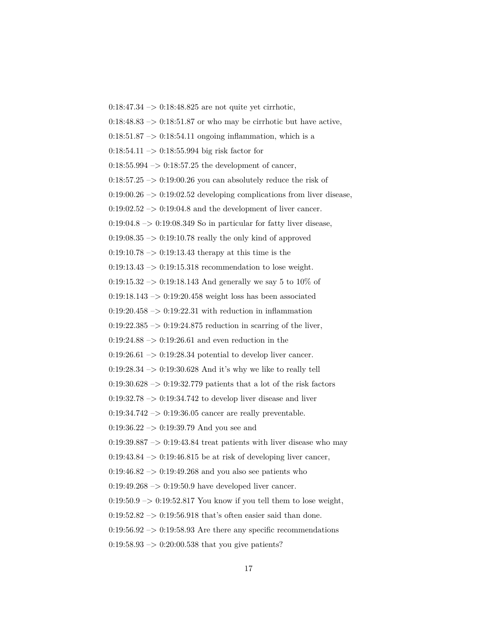$0:18:47.34 \rightarrow 0:18:48.825$  are not quite yet cirrhotic,  $0:18:48.83 \rightarrow 0:18:51.87$  or who may be cirrhotic but have active,  $0:18:51.87 \rightarrow 0:18:54.11$  ongoing inflammation, which is a 0:18:54.11 –> 0:18:55.994 big risk factor for  $0.18:55.994 \rightarrow 0.18:57.25$  the development of cancer,  $0:18:57.25 \rightarrow 0:19:00.26$  you can absolutely reduce the risk of  $0:19:00.26 \rightarrow 0:19:02.52$  developing complications from liver disease,  $0:19:02.52 \rightarrow 0:19:04.8$  and the development of liver cancer.  $0:19:04.8 \rightarrow 0:19:08.349$  So in particular for fatty liver disease,  $0.19:08.35 \rightarrow 0.19:10.78$  really the only kind of approved  $0:19:10.78 \rightarrow 0:19:13.43$  therapy at this time is the 0:19:13.43 –> 0:19:15.318 recommendation to lose weight. 0:19:15.32  $\rightarrow$  0:19:18.143 And generally we say 5 to 10% of  $0:19:18.143 \rightarrow 0:19:20.458$  weight loss has been associated  $0:19:20.458 \rightarrow 0:19:22.31$  with reduction in inflammation  $0:19:22.385 \rightarrow 0:19:24.875$  reduction in scarring of the liver,  $0.19:24.88 \rightarrow 0.19:26.61$  and even reduction in the  $0:19:26.61 \rightarrow 0:19:28.34$  potential to develop liver cancer.  $0.19:28.34 \rightarrow 0.19:30.628$  And it's why we like to really tell  $0:19:30.628 \rightarrow 0:19:32.779$  patients that a lot of the risk factors  $0:19:32.78 \rightarrow 0:19:34.742$  to develop liver disease and liver  $0.19:34.742 \rightarrow 0.19:36.05$  cancer are really preventable. 0:19:36.22 –> 0:19:39.79 And you see and  $0:19:39.887 \rightarrow 0:19:43.84$  treat patients with liver disease who may  $0.19:43.84 \rightarrow 0.19:46.815$  be at risk of developing liver cancer,  $0.19:46.82 \rightarrow 0.19:49.268$  and you also see patients who  $0:19:49.268 \rightarrow 0:19:50.9$  have developed liver cancer.  $0:19:50.9 \rightarrow 0:19:52.817$  You know if you tell them to lose weight,  $0.19:52.82 \rightarrow 0.19:56.918$  that's often easier said than done.  $0:19:56.92 \rightarrow 0:19:58.93$  Are there any specific recommendations  $0:19:58.93 \rightarrow 0:20:00.538$  that you give patients?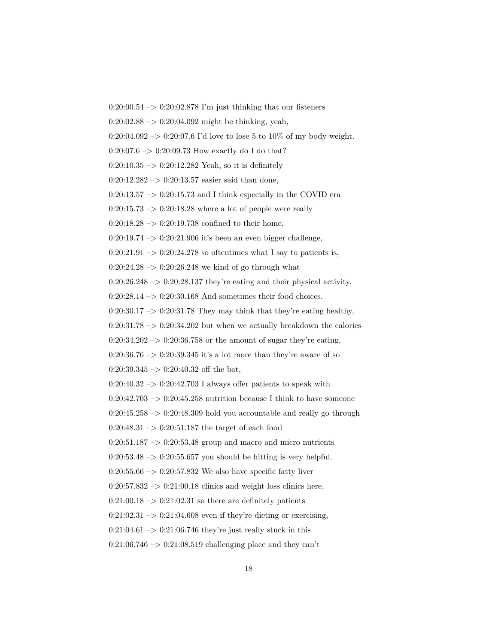$0:20:00.54 \rightarrow 0:20:02.878$  I'm just thinking that our listeners

 $0:20:02.88 \rightarrow 0:20:04.092$  might be thinking, yeah,

0:20:04.092 -> 0:20:07.6 I'd love to lose 5 to 10% of my body weight.

 $0:20:07.6 \rightarrow 0:20:09.73$  How exactly do I do that?

 $0:20:10.35 \rightarrow 0:20:12.282$  Yeah, so it is definitely

 $0:20:12.282 \rightarrow 0:20:13.57$  easier said than done,

 $0:20:13.57 \rightarrow 0:20:15.73$  and I think especially in the COVID era

 $0:20:15.73 \rightarrow 0:20:18.28$  where a lot of people were really

 $0:20:18.28 \rightarrow 0:20:19.738$  confined to their home,

 $0:20:19.74 \rightarrow 0:20:21.906$  it's been an even bigger challenge,

 $0:20:21.91 \rightarrow 0:20:24.278$  so oftentimes what I say to patients is,

 $0:20:24.28 \rightarrow 0:20:26.248$  we kind of go through what

 $0:20:26.248 \rightarrow 0:20:28.137$  they're eating and their physical activity.

0:20:28.14 –> 0:20:30.168 And sometimes their food choices.

 $0:20:30.17 \rightarrow 0:20:31.78$  They may think that they're eating healthy,

 $0:20:31.78 \rightarrow 0:20:34.202$  but when we actually breakdown the calories

 $0:20:34.202 \rightarrow 0:20:36.758$  or the amount of sugar they're eating,

 $0:20:36.76 \rightarrow 0:20:39.345$  it's a lot more than they're aware of so

 $0:20:39.345 \rightarrow 0:20:40.32$  off the bat,

 $0:20:40.32 \rightarrow 0:20:42.703$  I always offer patients to speak with

 $0:20:42.703 \rightarrow 0:20:45.258$  nutrition because I think to have someone

 $0:20:45.258 \rightarrow 0:20:48.309$  hold you accountable and really go through

 $0:20:48.31 \rightarrow 0:20:51.187$  the target of each food

 $0:20:51.187 \rightarrow 0:20:53.48$  group and macro and micro nutrients

 $0:20:53.48 \rightarrow 0:20:55.657$  you should be hitting is very helpful.

 $0:20:55.66 \rightarrow 0:20:57.832$  We also have specific fatty liver

 $0:20:57.832 \rightarrow 0:21:00.18$  clinics and weight loss clinics here,

 $0:21:00.18 \rightarrow 0:21:02.31$  so there are definitely patients

 $0:21:02.31 \rightarrow 0:21:04.608$  even if they're dieting or exercising,

 $0:21:04.61 \rightarrow 0:21:06.746$  they're just really stuck in this

 $0:21:06.746 \rightarrow 0:21:08.519$  challenging place and they can't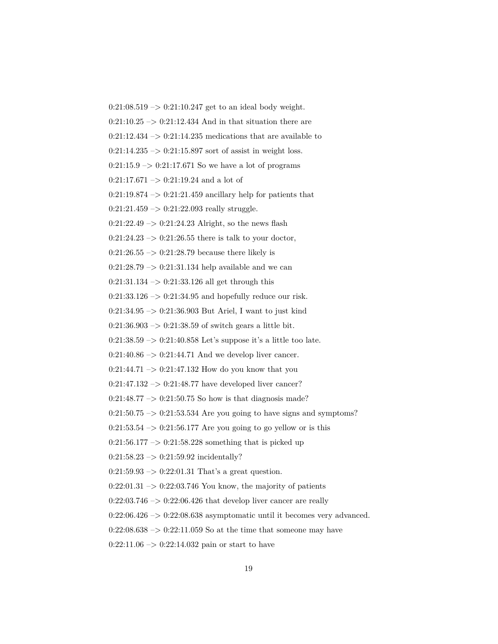$0:21:08.519 \rightarrow 0:21:10.247$  get to an ideal body weight.  $0:21:10.25 \rightarrow 0:21:12.434$  And in that situation there are  $0:21:12.434 \rightarrow 0:21:14.235$  medications that are available to  $0:21:14.235 \rightarrow 0:21:15.897$  sort of assist in weight loss.  $0:21:15.9 \rightarrow 0:21:17.671$  So we have a lot of programs  $0:21:17.671 \rightarrow 0:21:19.24$  and a lot of  $0:21:19.874 \rightarrow 0:21:21.459$  ancillary help for patients that  $0:21:21.459 \rightarrow 0:21:22.093$  really struggle.  $0:21:22.49 \rightarrow 0:21:24.23$  Alright, so the news flash  $0:21:24.23 \rightarrow 0:21:26.55$  there is talk to your doctor,  $0:21:26.55 \rightarrow 0:21:28.79$  because there likely is 0:21:28.79  $\rightarrow$  0:21:31.134 help available and we can 0:21:31.134 –> 0:21:33.126 all get through this  $0:21:33.126 \rightarrow 0:21:34.95$  and hopefully reduce our risk. 0:21:34.95 –> 0:21:36.903 But Ariel, I want to just kind  $0:21:36.903 \rightarrow 0:21:38.59$  of switch gears a little bit. 0:21:38.59  $\rightarrow$  0:21:40.858 Let's suppose it's a little too late.  $0:21:40.86 \rightarrow 0:21:44.71$  And we develop liver cancer.  $0:21:44.71 \rightarrow 0:21:47.132$  How do you know that you  $0:21:47.132 \rightarrow 0:21:48.77$  have developed liver cancer?  $0:21:48.77 \rightarrow 0:21:50.75$  So how is that diagnosis made?  $0:21:50.75 \rightarrow 0:21:53.534$  Are you going to have signs and symptoms?  $0:21:53.54 \rightarrow 0:21:56.177$  Are you going to go yellow or is this  $0:21:56.177 \rightarrow 0:21:58.228$  something that is picked up  $0:21:58.23 \rightarrow 0:21:59.92$  incidentally?  $0:21:59.93 \rightarrow 0:22:01.31$  That's a great question.  $0:22:01.31 \rightarrow 0:22:03.746$  You know, the majority of patients  $0:22:03.746 \rightarrow 0:22:06.426$  that develop liver cancer are really  $0:22:06.426 \rightarrow 0:22:08.638$  asymptomatic until it becomes very advanced.  $0:22:08.638 \rightarrow 0:22:11.059$  So at the time that someone may have  $0:22:11.06 \rightarrow 0:22:14.032$  pain or start to have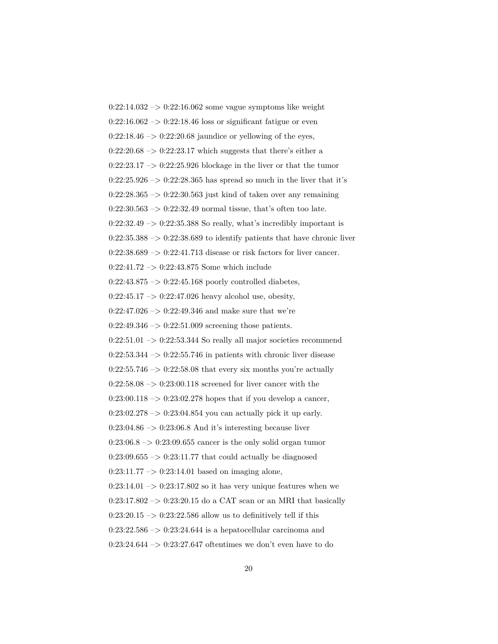$0:22:14.032 \rightarrow 0:22:16.062$  some vague symptoms like weight  $0:22:16.062 \rightarrow 0:22:18.46$  loss or significant fatigue or even  $0:22:18.46 \rightarrow 0:22:20.68$  jaundice or yellowing of the eyes,  $0:22:20.68 \rightarrow 0:22:23.17$  which suggests that there's either a  $0:22:23.17 \rightarrow 0:22:25.926$  blockage in the liver or that the tumor  $0:22:25.926 \rightarrow 0:22:28.365$  has spread so much in the liver that it's  $0:22:28.365 \rightarrow 0:22:30.563$  just kind of taken over any remaining  $0:22:30.563 \rightarrow 0:22:32.49$  normal tissue, that's often too late.  $0:22:32.49 \rightarrow 0:22:35.388$  So really, what's incredibly important is  $0:22:35.388 \rightarrow 0:22:38.689$  to identify patients that have chronic liver  $0:22:38.689 \rightarrow 0:22:41.713$  disease or risk factors for liver cancer. 0:22:41.72 –> 0:22:43.875 Some which include  $0:22:43.875 \rightarrow 0:22:45.168$  poorly controlled diabetes,  $0:22:45.17 \rightarrow 0:22:47.026$  heavy alcohol use, obesity, 0:22:47.026  $->$  0:22:49.346 and make sure that we're  $0:22:49.346 \rightarrow 0:22:51.009$  screening those patients.  $0:22:51.01 \rightarrow 0:22:53.344$  So really all major societies recommend  $0:22:53.344 \rightarrow 0:22:55.746$  in patients with chronic liver disease  $0:22:55.746 \rightarrow 0:22:58.08$  that every six months you're actually  $0:22:58.08 \rightarrow 0:23:00.118$  screened for liver cancer with the  $0:23:00.118 \rightarrow 0:23:02.278$  hopes that if you develop a cancer,  $0:23:02.278 \rightarrow 0:23:04.854$  you can actually pick it up early. 0:23:04.86 –> 0:23:06.8 And it's interesting because liver  $0:23:06.8 \rightarrow 0:23:09.655$  cancer is the only solid organ tumor  $0:23:09.655 \rightarrow 0:23:11.77$  that could actually be diagnosed  $0:23:11.77 \rightarrow 0:23:14.01$  based on imaging alone,  $0:23:14.01 \rightarrow 0:23:17.802$  so it has very unique features when we  $0:23:17.802 \rightarrow 0:23:20.15$  do a CAT scan or an MRI that basically  $0:23:20.15 \rightarrow 0:23:22.586$  allow us to definitively tell if this  $0:23:22.586 \rightarrow 0:23:24.644$  is a hepatocellular carcinoma and  $0:23:24.644 \rightarrow 0:23:27.647$  oftentimes we don't even have to do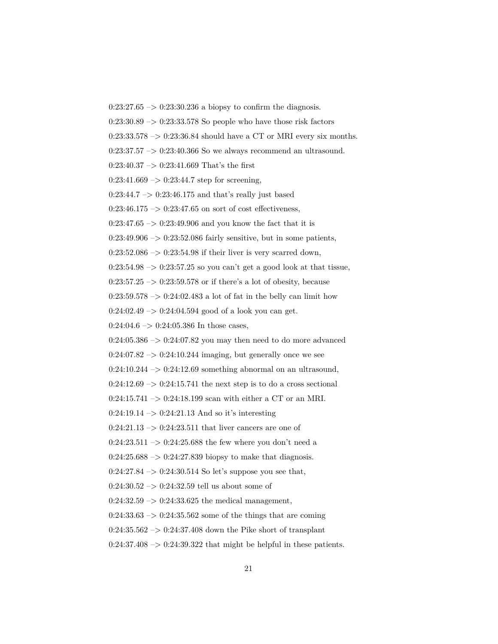$0:23:27.65 \rightarrow 0:23:30.236$  a biopsy to confirm the diagnosis.

 $0:23:30.89 \rightarrow 0:23:33.578$  So people who have those risk factors

 $0:23:33.578 \rightarrow 0:23:36.84$  should have a CT or MRI every six months.

 $0:23:37.57 \rightarrow 0:23:40.366$  So we always recommend an ultrasound.

 $0:23:40.37 \rightarrow 0:23:41.669$  That's the first

 $0:23:41.669 \rightarrow 0:23:44.7$  step for screening,

 $0:23:44.7 \rightarrow 0:23:46.175$  and that's really just based

 $0:23:46.175 \rightarrow 0:23:47.65$  on sort of cost effectiveness,

 $0:23:47.65 \rightarrow 0:23:49.906$  and you know the fact that it is

 $0:23:49.906 \rightarrow 0:23:52.086$  fairly sensitive, but in some patients,

 $0:23:52.086 \rightarrow 0:23:54.98$  if their liver is very scarred down,

 $0:23:54.98 \rightarrow 0:23:57.25$  so you can't get a good look at that tissue,

 $0:23:57.25 \rightarrow 0:23:59.578$  or if there's a lot of obesity, because

 $0:23:59.578 \rightarrow 0:24:02.483$  a lot of fat in the belly can limit how

 $0:24:02.49 \rightarrow 0:24:04.594$  good of a look you can get.

 $0:24:04.6 \rightarrow 0:24:05.386$  In those cases,

 $0:24:05.386 \rightarrow 0:24:07.82$  you may then need to do more advanced

 $0:24:07.82 \rightarrow 0:24:10.244$  imaging, but generally once we see

 $0:24:10.244 \rightarrow 0:24:12.69$  something abnormal on an ultrasound,

 $0:24:12.69 \rightarrow 0:24:15.741$  the next step is to do a cross sectional

 $0:24:15.741 \rightarrow 0:24:18.199$  scan with either a CT or an MRI.

 $0:24:19.14 \rightarrow 0:24:21.13$  And so it's interesting

 $0:24:21.13 \rightarrow 0:24:23.511$  that liver cancers are one of

 $0:24:23.511 \rightarrow 0:24:25.688$  the few where you don't need a

 $0:24:25.688 \rightarrow 0:24:27.839$  biopsy to make that diagnosis.

 $0:24:27.84 \rightarrow 0:24:30.514$  So let's suppose you see that,

 $0:24:30.52 \rightarrow 0:24:32.59$  tell us about some of

 $0:24:32.59 \rightarrow 0:24:33.625$  the medical management,

 $0:24:33.63 \rightarrow 0:24:35.562$  some of the things that are coming

 $0:24:35.562 \rightarrow 0:24:37.408$  down the Pike short of transplant

 $0:24:37.408 \rightarrow 0:24:39.322$  that might be helpful in these patients.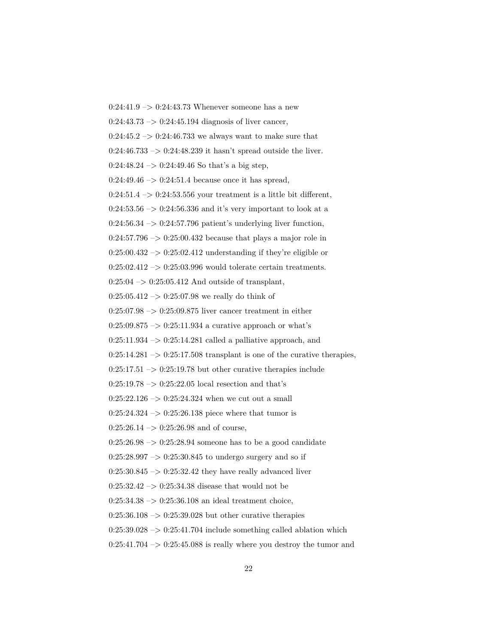$0:24:41.9 \rightarrow 0:24:43.73$  Whenever someone has a new  $0:24:43.73 \rightarrow 0:24:45.194$  diagnosis of liver cancer,  $0:24:45.2 \rightarrow 0:24:46.733$  we always want to make sure that  $0:24:46.733 \rightarrow 0:24:48.239$  it hasn't spread outside the liver.  $0:24:48.24 \rightarrow 0:24:49.46$  So that's a big step,  $0:24:49.46 \rightarrow 0:24:51.4$  because once it has spread,  $0:24:51.4 \rightarrow 0:24:53.556$  your treatment is a little bit different,  $0:24:53.56 \rightarrow 0:24:56.336$  and it's very important to look at a  $0:24:56.34 \rightarrow 0:24:57.796$  patient's underlying liver function,  $0:24:57.796 \rightarrow 0:25:00.432$  because that plays a major role in  $0:25:00.432 \rightarrow 0:25:02.412$  understanding if they're eligible or  $0:25:02.412 \rightarrow 0:25:03.996$  would tolerate certain treatments.  $0:25:04 \rightarrow 0:25:05.412$  And outside of transplant,  $0:25:05.412 \rightarrow 0:25:07.98$  we really do think of  $0:25:07.98 \rightarrow 0:25:09.875$  liver cancer treatment in either  $0:25:09.875 \rightarrow 0:25:11.934$  a curative approach or what's  $0:25:11.934 \rightarrow 0:25:14.281$  called a palliative approach, and  $0:25:14.281 \rightarrow 0:25:17.508$  transplant is one of the curative therapies,  $0:25:17.51 \rightarrow 0:25:19.78$  but other curative therapies include  $0:25:19.78 \rightarrow 0:25:22.05$  local resection and that's  $0:25:22.126 \rightarrow 0:25:24.324$  when we cut out a small  $0:25:24.324 \rightarrow 0:25:26.138$  piece where that tumor is  $0:25:26.14 \rightarrow 0:25:26.98$  and of course,  $0:25:26.98 \rightarrow 0:25:28.94$  someone has to be a good candidate  $0:25:28.997 \rightarrow 0:25:30.845$  to undergo surgery and so if  $0:25:30.845 \rightarrow 0:25:32.42$  they have really advanced liver  $0:25:32.42 \rightarrow 0:25:34.38$  disease that would not be  $0:25:34.38 \rightarrow 0:25:36.108$  an ideal treatment choice,  $0:25:36.108 \rightarrow 0:25:39.028$  but other curative therapies  $0:25:39.028 \rightarrow 0:25:41.704$  include something called ablation which  $0:25:41.704 \rightarrow 0:25:45.088$  is really where you destroy the tumor and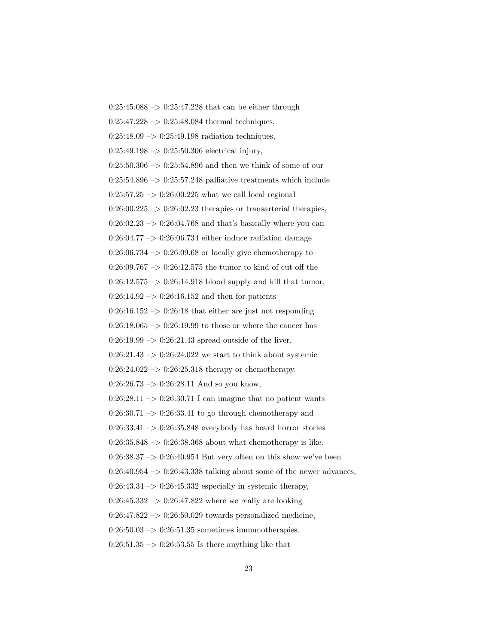$0:25:45.088 \rightarrow 0:25:47.228$  that can be either through  $0:25:47.228 \rightarrow 0:25:48.084$  thermal techniques,  $0:25:48.09 \rightarrow 0:25:49.198$  radiation techniques,  $0:25:49.198 \rightarrow 0:25:50.306$  electrical injury,  $0:25:50.306 \rightarrow 0:25:54.896$  and then we think of some of our  $0:25:54.896 \rightarrow 0:25:57.248$  palliative treatments which include  $0:25:57.25 \rightarrow 0:26:00.225$  what we call local regional  $0:26:00.225 \rightarrow 0:26:02.23$  therapies or transarterial therapies,  $0:26:02.23 \rightarrow 0:26:04.768$  and that's basically where you can  $0:26:04.77 \rightarrow 0:26:06.734$  either induce radiation damage  $0:26:06.734 \rightarrow 0:26:09.68$  or locally give chemotherapy to 0:26:09.767 –> 0:26:12.575 the tumor to kind of cut off the  $0:26:12.575 \rightarrow 0:26:14.918$  blood supply and kill that tumor,  $0:26:14.92 \rightarrow 0:26:16.152$  and then for patients  $0:26:16.152 \rightarrow 0:26:18$  that either are just not responding  $0:26:18.065 \rightarrow 0:26:19.99$  to those or where the cancer has  $0:26:19.99 \rightarrow 0:26:21.43$  spread outside of the liver,  $0:26:21.43 \rightarrow 0:26:24.022$  we start to think about systemic  $0:26:24.022 \rightarrow 0:26:25.318$  therapy or chemotherapy.  $0:26:26.73 \rightarrow 0:26:28.11$  And so you know,  $0:26:28.11 \rightarrow 0:26:30.71$  I can imagine that no patient wants  $0:26:30.71 \rightarrow 0:26:33.41$  to go through chemotherapy and  $0:26:33.41 \rightarrow 0:26:35.848$  everybody has heard horror stories  $0:26:35.848 \rightarrow 0:26:38.368$  about what chemotherapy is like.  $0.26:38.37 \rightarrow 0.26:40.954$  But very often on this show we've been  $0:26:40.954 \rightarrow 0:26:43.338$  talking about some of the newer advances,  $0:26:43.34 \rightarrow 0:26:45.332$  especially in systemic therapy,  $0:26:45.332 \rightarrow 0:26:47.822$  where we really are looking  $0:26:47.822 \rightarrow 0:26:50.029$  towards personalized medicine,  $0:26:50.03 \rightarrow 0:26:51.35$  sometimes immunotherapies.  $0:26:51.35 \rightarrow 0:26:53.55$  Is there anything like that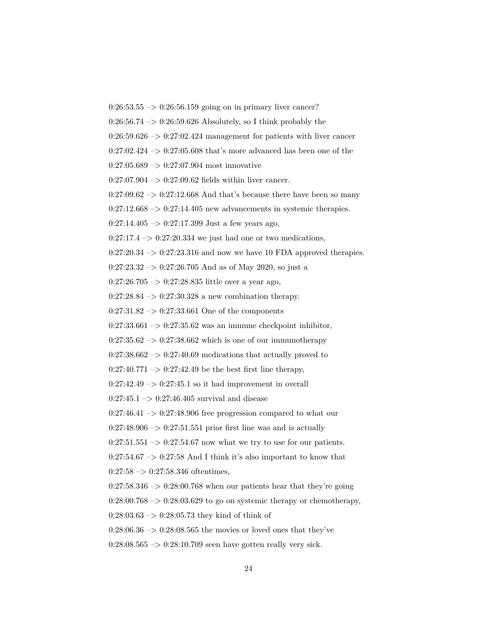$0:26:53.55 \rightarrow 0:26:56.159$  going on in primary liver cancer?

 $0:26:56.74 \rightarrow 0:26:59.626$  Absolutely, so I think probably the

 $0:26:59.626 \rightarrow 0:27:02.424$  management for patients with liver cancer

 $0:27:02.424 \rightarrow 0:27:05.608$  that's more advanced has been one of the

 $0:27:05.689 \rightarrow 0:27:07.904$  most innovative

 $0:27:07.904 \rightarrow 0:27:09.62$  fields within liver cancer.

 $0:27:09.62 \rightarrow 0:27:12.668$  And that's because there have been so many

 $0:27:12.668 \rightarrow 0:27:14.405$  new advancements in systemic therapies.

 $0:27:14.405 \rightarrow 0:27:17.399$  Just a few years ago,

 $0:27:17.4 \rightarrow 0:27:20.334$  we just had one or two medications,

 $0:27:20.34 \rightarrow 0:27:23.316$  and now we have 10 FDA approved therapies.

 $0:27:23.32 \rightarrow 0:27:26.705$  And as of May 2020, so just a

0:27:26.705 –> 0:27:28.835 little over a year ago,

 $0:27:28.84 \rightarrow 0:27:30.328$  a new combination therapy.

 $0:27:31.82 \rightarrow 0:27:33.661$  One of the components

 $0:27:33.661 \rightarrow 0:27:35.62$  was an immune checkpoint inhibitor,

 $0:27:35.62 \rightarrow 0:27:38.662$  which is one of our immunotherapy

 $0:27:38.662 \rightarrow 0:27:40.69$  medications that actually proved to

 $0:27:40.771 \rightarrow 0:27:42.49$  be the best first line therapy,

 $0:27:42.49 \rightarrow 0:27:45.1$  so it had improvement in overall

 $0:27:45.1 \rightarrow 0:27:46.405$  survival and disease

 $0:27:46.41 \rightarrow 0:27:48.906$  free progression compared to what our

 $0:27:48.906 \rightarrow 0:27:51.551$  prior first line was and is actually

 $0:27:51.551 \rightarrow 0:27:54.67$  now what we try to use for our patients.

 $0:27:54.67 \rightarrow 0:27:58$  And I think it's also important to know that  $0:27:58 \rightarrow 0:27:58.346$  oftentimes,

 $0:27:58.346 \rightarrow 0:28:00.768$  when our patients hear that they're going

 $0:28:00.768 \rightarrow 0:28:03.629$  to go on systemic therapy or chemotherapy,

 $0:28:03.63 \rightarrow 0:28:05.73$  they kind of think of

 $0:28:06.36 \rightarrow 0:28:08.565$  the movies or loved ones that they've

 $0:28:08.565 \rightarrow 0:28:10.709$  seen have gotten really very sick.